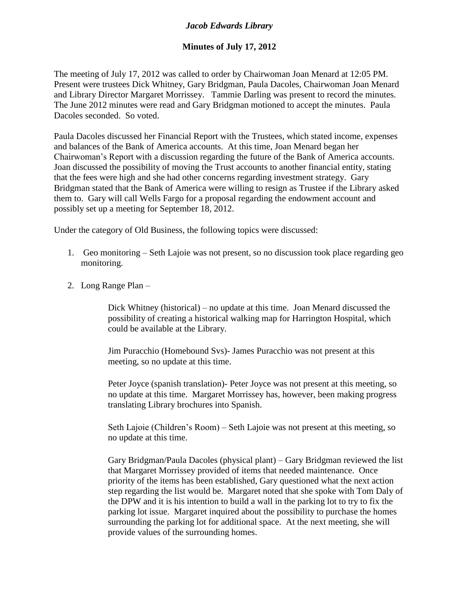## *Jacob Edwards Library*

## **Minutes of July 17, 2012**

The meeting of July 17, 2012 was called to order by Chairwoman Joan Menard at 12:05 PM. Present were trustees Dick Whitney, Gary Bridgman, Paula Dacoles, Chairwoman Joan Menard and Library Director Margaret Morrissey. Tammie Darling was present to record the minutes. The June 2012 minutes were read and Gary Bridgman motioned to accept the minutes. Paula Dacoles seconded. So voted.

Paula Dacoles discussed her Financial Report with the Trustees, which stated income, expenses and balances of the Bank of America accounts. At this time, Joan Menard began her Chairwoman's Report with a discussion regarding the future of the Bank of America accounts. Joan discussed the possibility of moving the Trust accounts to another financial entity, stating that the fees were high and she had other concerns regarding investment strategy. Gary Bridgman stated that the Bank of America were willing to resign as Trustee if the Library asked them to. Gary will call Wells Fargo for a proposal regarding the endowment account and possibly set up a meeting for September 18, 2012.

Under the category of Old Business, the following topics were discussed:

- 1. Geo monitoring Seth Lajoie was not present, so no discussion took place regarding geo monitoring.
- 2. Long Range Plan –

Dick Whitney (historical) – no update at this time. Joan Menard discussed the possibility of creating a historical walking map for Harrington Hospital, which could be available at the Library.

Jim Puracchio (Homebound Svs)- James Puracchio was not present at this meeting, so no update at this time.

Peter Joyce (spanish translation)- Peter Joyce was not present at this meeting, so no update at this time. Margaret Morrissey has, however, been making progress translating Library brochures into Spanish.

Seth Lajoie (Children's Room) – Seth Lajoie was not present at this meeting, so no update at this time.

Gary Bridgman/Paula Dacoles (physical plant) – Gary Bridgman reviewed the list that Margaret Morrissey provided of items that needed maintenance. Once priority of the items has been established, Gary questioned what the next action step regarding the list would be. Margaret noted that she spoke with Tom Daly of the DPW and it is his intention to build a wall in the parking lot to try to fix the parking lot issue. Margaret inquired about the possibility to purchase the homes surrounding the parking lot for additional space. At the next meeting, she will provide values of the surrounding homes.